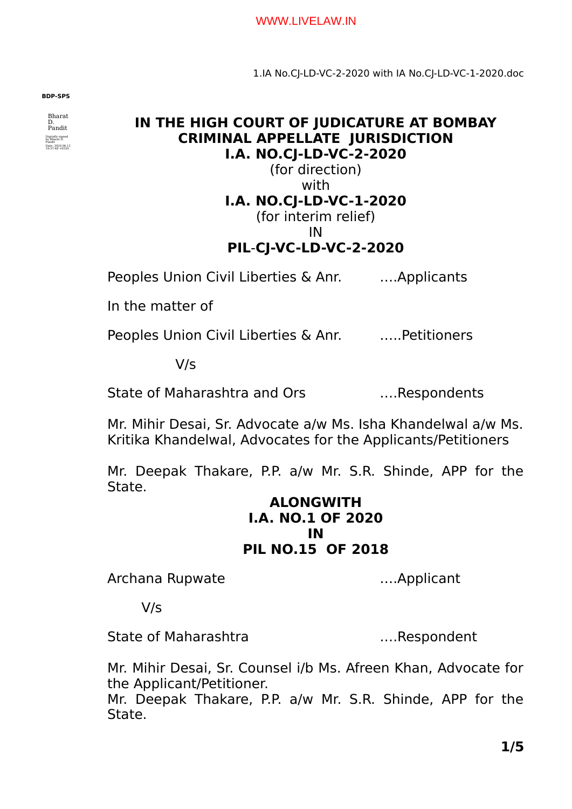#### WWW.LIVELAW.IN

1.IA No.CJ-LD-VC-2-2020 with IA No.CJ-LD-VC-1-2020.doc

**BDP-SPS**

Bharat D. Pandit Digitally signed by Bharat D. Pandit Date: 2020.06.12 19:37:48 +0530

## **IN THE HIGH COURT OF JUDICATURE AT BOMBAY CRIMINAL APPELLATE JURISDICTION I.A. NO.CJ-LD-VC-2-2020**

(for direction) with **I.A. NO.CJ-LD-VC-1-2020** (for interim relief)

IN

# **PIL**-**CJ-VC-LD-VC-2-2020**

Peoples Union Civil Liberties & Anr. ….Applicants

In the matter of

Peoples Union Civil Liberties & Anr. …..Petitioners

V/s

State of Maharashtra and Ors ….Respondents

Mr. Mihir Desai, Sr. Advocate a/w Ms. Isha Khandelwal a/w Ms. Kritika Khandelwal, Advocates for the Applicants/Petitioners

Mr. Deepak Thakare, P.P. a/w Mr. S.R. Shinde, APP for the State.

## **ALONGWITH I.A. NO.1 OF 2020 IN PIL NO.15 OF 2018**

Archana Rupwate **Exercise 2018** ....Applicant

V/s

State of Maharashtra **Exercise 2.1 Maharashtra** 2.1.Respondent

Mr. Mihir Desai, Sr. Counsel i/b Ms. Afreen Khan, Advocate for the Applicant/Petitioner.

Mr. Deepak Thakare, P.P. a/w Mr. S.R. Shinde, APP for the State.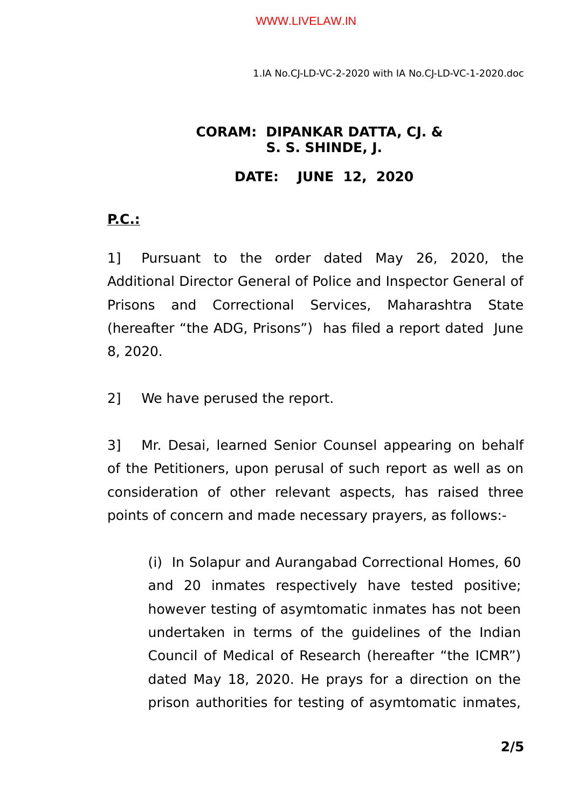#### WWW.LIVELAW.IN

1.IA No.CJ-LD-VC-2-2020 with IA No.CJ-LD-VC-1-2020.doc

# **CORAM: DIPANKAR DATTA, CJ. & S. S. SHINDE, J.**

## **DATE: JUNE 12, 2020**

# **P.C.:**

1] Pursuant to the order dated May 26, 2020, the Additional Director General of Police and Inspector General of Prisons and Correctional Services, Maharashtra State (hereafter "the ADG, Prisons") has filed a report dated June 8, 2020.

2] We have perused the report.

3] Mr. Desai, learned Senior Counsel appearing on behalf of the Petitioners, upon perusal of such report as well as on consideration of other relevant aspects, has raised three points of concern and made necessary prayers, as follows:-

(i) In Solapur and Aurangabad Correctional Homes, 60 and 20 inmates respectively have tested positive; however testing of asymtomatic inmates has not been undertaken in terms of the guidelines of the Indian Council of Medical of Research (hereafter "the ICMR") dated May 18, 2020. He prays for a direction on the prison authorities for testing of asymtomatic inmates,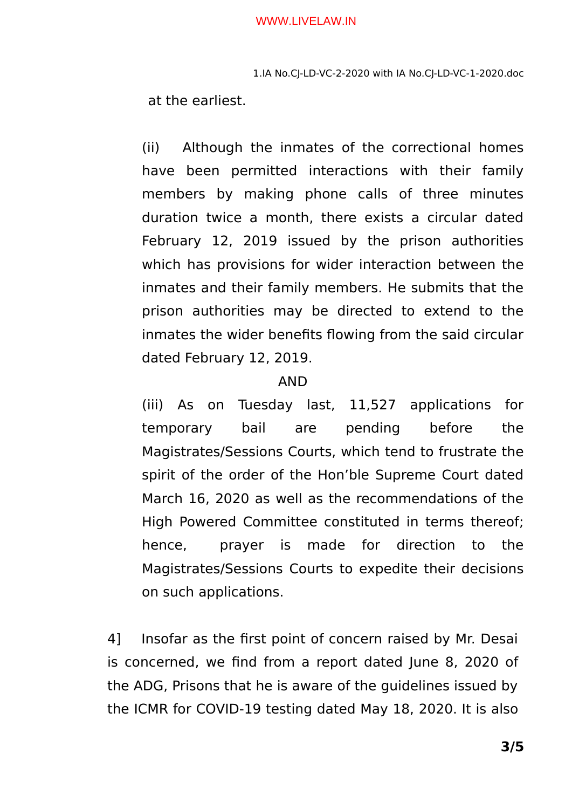1.IA No.CJ-LD-VC-2-2020 with IA No.CJ-LD-VC-1-2020.doc

at the earliest.

(ii) Although the inmates of the correctional homes have been permitted interactions with their family members by making phone calls of three minutes duration twice a month, there exists a circular dated February 12, 2019 issued by the prison authorities which has provisions for wider interaction between the inmates and their family members. He submits that the prison authorities may be directed to extend to the inmates the wider benefits flowing from the said circular dated February 12, 2019.

# AND

(iii) As on Tuesday last, 11,527 applications for temporary bail are pending before the Magistrates/Sessions Courts, which tend to frustrate the spirit of the order of the Hon'ble Supreme Court dated March 16, 2020 as well as the recommendations of the High Powered Committee constituted in terms thereof; hence, prayer is made for direction to the Magistrates/Sessions Courts to expedite their decisions on such applications.

4] Insofar as the first point of concern raised by Mr. Desai is concerned, we find from a report dated June 8, 2020 of the ADG, Prisons that he is aware of the guidelines issued by the ICMR for COVID-19 testing dated May 18, 2020. It is also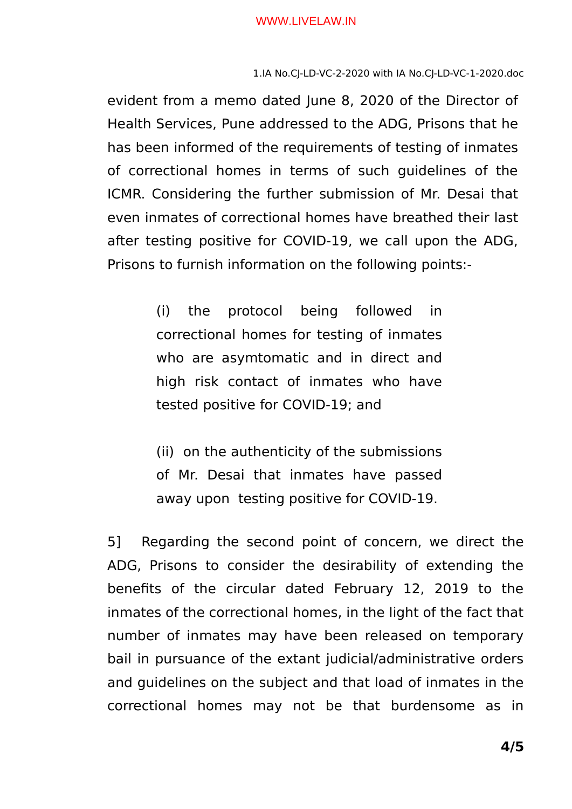1.IA No.CJ-LD-VC-2-2020 with IA No.CJ-LD-VC-1-2020.doc

evident from a memo dated June 8, 2020 of the Director of Health Services, Pune addressed to the ADG, Prisons that he has been informed of the requirements of testing of inmates of correctional homes in terms of such guidelines of the ICMR. Considering the further submission of Mr. Desai that even inmates of correctional homes have breathed their last after testing positive for COVID-19, we call upon the ADG, Prisons to furnish information on the following points:-

> (i) the protocol being followed in correctional homes for testing of inmates who are asymtomatic and in direct and high risk contact of inmates who have tested positive for COVID-19; and

> (ii) on the authenticity of the submissions of Mr. Desai that inmates have passed away upon testing positive for COVID-19.

5] Regarding the second point of concern, we direct the ADG, Prisons to consider the desirability of extending the benefits of the circular dated February 12, 2019 to the inmates of the correctional homes, in the light of the fact that number of inmates may have been released on temporary bail in pursuance of the extant judicial/administrative orders and guidelines on the subject and that load of inmates in the correctional homes may not be that burdensome as in